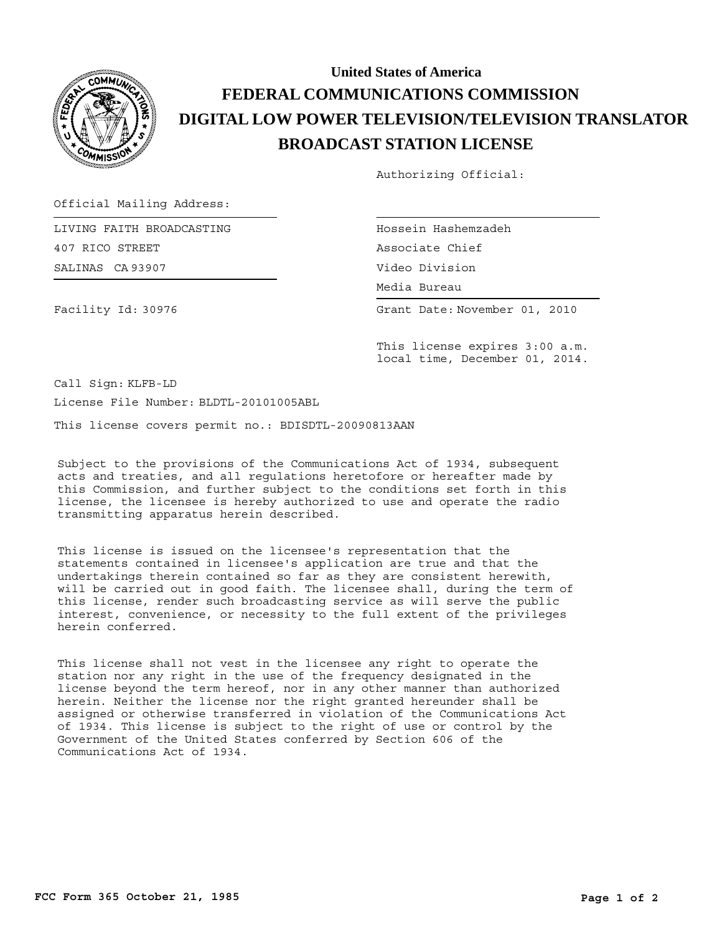

## **BROADCAST STATION LICENSE DIGITAL LOW POWER TELEVISION/TELEVISION TRANSLATOR FEDERAL COMMUNICATIONS COMMISSION United States of America**

Authorizing Official:

Official Mailing Address:

SALINAS CA 93907 LIVING FAITH BROADCASTING 407 RICO STREET

Facility Id: 30976

Hossein Hashemzadeh Media Bureau Media Bureau Associate Chief Video Division

Grant Date: November 01, 2010

This license expires 3:00 a.m. local time, December 01, 2014.

Call Sign: KLFB-LD

License File Number: BLDTL-20101005ABL

This license covers permit no.: BDISDTL-20090813AAN

Subject to the provisions of the Communications Act of 1934, subsequent acts and treaties, and all regulations heretofore or hereafter made by this Commission, and further subject to the conditions set forth in this license, the licensee is hereby authorized to use and operate the radio transmitting apparatus herein described.

This license is issued on the licensee's representation that the statements contained in licensee's application are true and that the undertakings therein contained so far as they are consistent herewith, will be carried out in good faith. The licensee shall, during the term of this license, render such broadcasting service as will serve the public interest, convenience, or necessity to the full extent of the privileges herein conferred.

This license shall not vest in the licensee any right to operate the station nor any right in the use of the frequency designated in the license beyond the term hereof, nor in any other manner than authorized herein. Neither the license nor the right granted hereunder shall be assigned or otherwise transferred in violation of the Communications Act of 1934. This license is subject to the right of use or control by the Government of the United States conferred by Section 606 of the Communications Act of 1934.